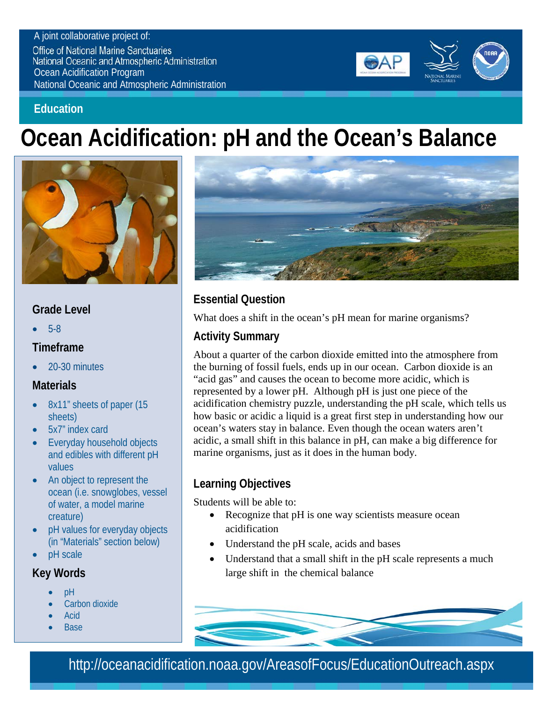#### A joint collaborative project of:

**Office of National Marine Sanctuaries National Oceanic and Atmospheric Administration** Ocean Acidification Program National Oceanic and Atmospheric Administration



#### **Education**

# **Ocean Acidification: pH and the Ocean's Balance**



### **Grade Level**

• 5-8

#### **Timeframe**

• 20-30 minutes

## **Materials**

- 8x11" sheets of paper (15 sheets)
- 5x7" index card
- Everyday household objects and edibles with different pH values
- An object to represent the ocean (i.e. snowglobes, vessel of water, a model marine creature)
- pH values for everyday objects (in "Materials" section below)
- pH scale

#### **Key Words**

- pH
- Carbon dioxide
- Acid
- Base



## **Essential Question**

What does a shift in the ocean's pH mean for marine organisms?

## **Activity Summary**

About a quarter of the carbon dioxide emitted into the atmosphere from the burning of fossil fuels, ends up in our ocean. Carbon dioxide is an "acid gas" and causes the ocean to become more acidic, which is represented by a lower pH. Although pH is just one piece of the acidification chemistry puzzle, understanding the pH scale, which tells us how basic or acidic a liquid is a great first step in understanding how our ocean's waters stay in balance. Even though the ocean waters aren't acidic, a small shift in this balance in pH, can make a big difference for marine organisms, just as it does in the human body.

# **Learning Objectives**

Students will be able to:

- Recognize that pH is one way scientists measure ocean acidification
- Understand the pH scale, acids and bases
- Understand that a small shift in the pH scale represents a much large shift in the chemical balance



http://oceanacidification.noaa.gov/AreasofFocus/EducationOutreach.aspx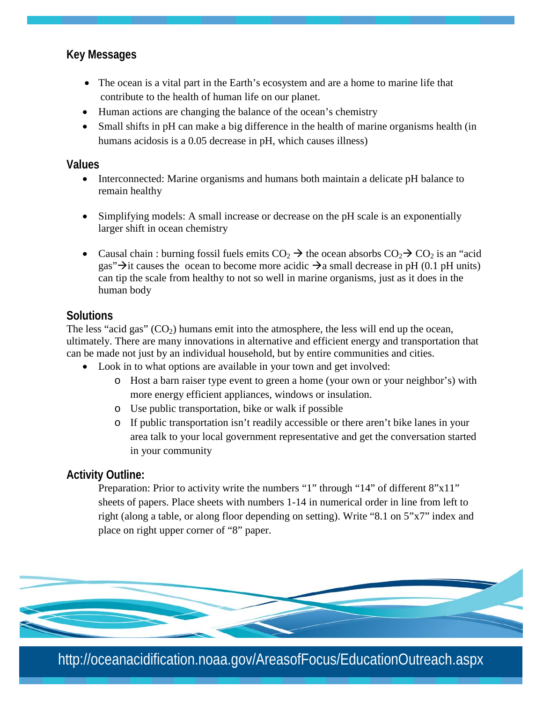#### **Key Messages**

- The ocean is a vital part in the Earth's ecosystem and are a home to marine life that contribute to the health of human life on our planet.
- Human actions are changing the balance of the ocean's chemistry
- Small shifts in pH can make a big difference in the health of marine organisms health (in humans acidosis is a 0.05 decrease in pH, which causes illness)

#### **Values**

- Interconnected: Marine organisms and humans both maintain a delicate pH balance to remain healthy
- Simplifying models: A small increase or decrease on the pH scale is an exponentially larger shift in ocean chemistry
- Causal chain : burning fossil fuels emits  $CO_2 \rightarrow$  the ocean absorbs  $CO_2 \rightarrow CO_2$  is an "acid gas" $\rightarrow$ it causes the ocean to become more acidic  $\rightarrow$ a small decrease in pH (0.1 pH units) can tip the scale from healthy to not so well in marine organisms, just as it does in the human body

#### **Solutions**

The less "acid gas"  $(CO<sub>2</sub>)$  humans emit into the atmosphere, the less will end up the ocean, ultimately. There are many innovations in alternative and efficient energy and transportation that can be made not just by an individual household, but by entire communities and cities.

- Look in to what options are available in your town and get involved:
	- o Host a barn raiser type event to green a home (your own or your neighbor's) with more energy efficient appliances, windows or insulation.
	- o Use public transportation, bike or walk if possible
	- o If public transportation isn't readily accessible or there aren't bike lanes in your area talk to your local government representative and get the conversation started in your community

#### **Activity Outline:**

Preparation: Prior to activity write the numbers "1" through "14" of different 8"x11" sheets of papers. Place sheets with numbers 1-14 in numerical order in line from left to right (along a table, or along floor depending on setting). Write "8.1 on 5"x7" index and place on right upper corner of "8" paper.



http://oceanacidification.noaa.gov/AreasofFocus/EducationOutreach.aspx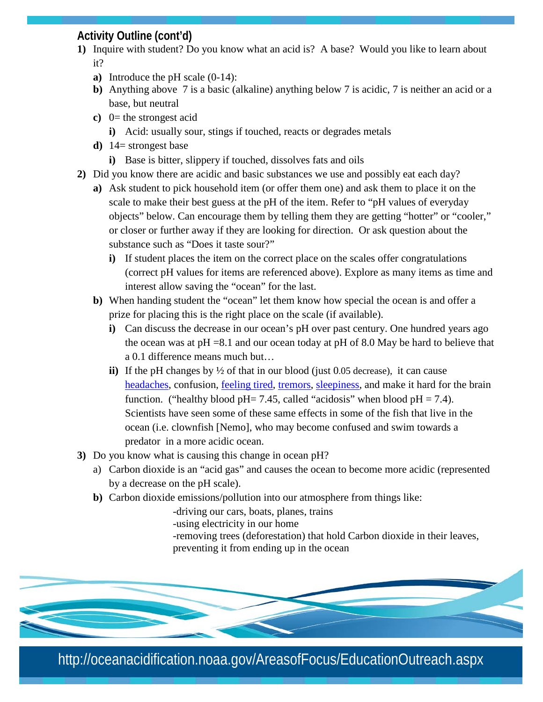### **Activity Outline (cont'd)**

- **1)** Inquire with student? Do you know what an acid is? A base? Would you like to learn about it?
	- **a)** Introduce the pH scale (0-14):
	- **b)** Anything above 7 is a basic (alkaline) anything below 7 is acidic, 7 is neither an acid or a base, but neutral
	- **c**)  $0=$  the strongest acid
		- **i)** Acid: usually sour, stings if touched, reacts or degrades metals
	- **d)** 14= strongest base
		- **i)** Base is bitter, slippery if touched, dissolves fats and oils
- **2)** Did you know there are acidic and basic substances we use and possibly eat each day?
	- **a)** Ask student to pick household item (or offer them one) and ask them to place it on the scale to make their best guess at the pH of the item. Refer to "pH values of everyday objects" below. Can encourage them by telling them they are getting "hotter" or "cooler," or closer or further away if they are looking for direction. Or ask question about the substance such as "Does it taste sour?"
		- **i)** If student places the item on the correct place on the scales offer congratulations (correct pH values for items are referenced above). Explore as many items as time and interest allow saving the "ocean" for the last.
	- **b)** When handing student the "ocean" let them know how special the ocean is and offer a prize for placing this is the right place on the scale (if available).
		- **i)** Can discuss the decrease in our ocean's pH over past century. One hundred years ago the ocean was at  $pH = 8.1$  and our ocean today at  $pH$  of 8.0 May be hard to believe that a 0.1 difference means much but…
		- **ii)** If the pH changes by ½ of that in our blood (just 0.05 decrease), it can cause [headaches,](http://en.wikipedia.org/wiki/Headache) confusion, [feeling tired,](http://en.wikipedia.org/wiki/Fatigue_(medical)) [tremors,](http://en.wikipedia.org/wiki/Tremor) [sleepiness,](http://en.wikipedia.org/wiki/Somnolence) and make it hard for the brain function. ("healthy blood pH= 7.45, called "acidosis" when blood pH = 7.4). Scientists have seen some of these same effects in some of the fish that live in the ocean (i.e. clownfish [Nemo], who may become confused and swim towards a predator in a more acidic ocean.
- **3)** Do you know what is causing this change in ocean pH?
	- a) Carbon dioxide is an "acid gas" and causes the ocean to become more acidic (represented by a decrease on the pH scale).
	- **b)** Carbon dioxide emissions/pollution into our atmosphere from things like:
		- -driving our cars, boats, planes, trains
		- -using electricity in our home
		- -removing trees (deforestation) that hold Carbon dioxide in their leaves, preventing it from ending up in the ocean



http://oceanacidification.noaa.gov/AreasofFocus/EducationOutreach.aspx